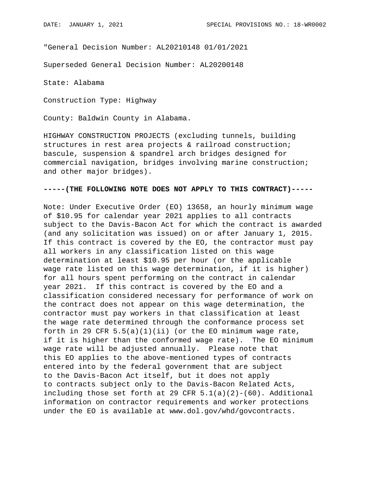"General Decision Number: AL20210148 01/01/2021

Superseded General Decision Number: AL20200148

State: Alabama

Construction Type: Highway

County: Baldwin County in Alabama.

HIGHWAY CONSTRUCTION PROJECTS (excluding tunnels, building structures in rest area projects & railroad construction; bascule, suspension & spandrel arch bridges designed for commercial navigation, bridges involving marine construction; and other major bridges).

## **-----(THE FOLLOWING NOTE DOES NOT APPLY TO THIS CONTRACT)-----**

Note: Under Executive Order (EO) 13658, an hourly minimum wage of \$10.95 for calendar year 2021 applies to all contracts subject to the Davis-Bacon Act for which the contract is awarded (and any solicitation was issued) on or after January 1, 2015. If this contract is covered by the EO, the contractor must pay all workers in any classification listed on this wage determination at least \$10.95 per hour (or the applicable wage rate listed on this wage determination, if it is higher) for all hours spent performing on the contract in calendar year 2021. If this contract is covered by the EO and a classification considered necessary for performance of work on the contract does not appear on this wage determination, the contractor must pay workers in that classification at least the wage rate determined through the conformance process set forth in 29 CFR  $5.5(a)(1)(ii)$  (or the EO minimum wage rate, if it is higher than the conformed wage rate). The EO minimum wage rate will be adjusted annually. Please note that this EO applies to the above-mentioned types of contracts entered into by the federal government that are subject to the Davis-Bacon Act itself, but it does not apply to contracts subject only to the Davis-Bacon Related Acts, including those set forth at 29 CFR  $5.1(a)(2)-(60)$ . Additional information on contractor requirements and worker protections under the EO is available at www.dol.gov/whd/govcontracts.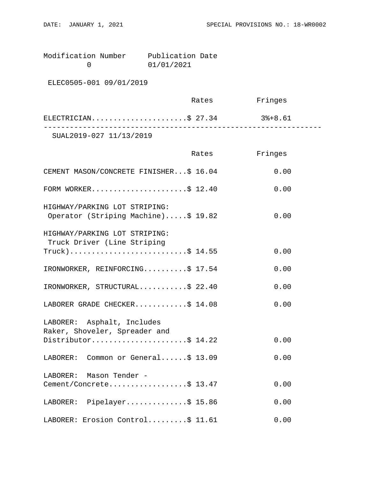Modification Number Publication Date<br>0 01/01/2021 0 01/01/2021

ELEC0505-001 09/01/2019

|                                                                          | Rates | Fringes |  |
|--------------------------------------------------------------------------|-------|---------|--|
| $\texttt{ELECTRICIAN} \dots \dots \dots \dots \dots \dots \dots \$ 27.34 |       | 3%+8.61 |  |
| SUAL2019-027 11/13/2019                                                  |       |         |  |

|                                                                      | Rates | Fringes |
|----------------------------------------------------------------------|-------|---------|
| CEMENT MASON/CONCRETE FINISHER\$ 16.04                               |       | 0.00    |
| FORM WORKER\$ 12.40                                                  |       | 0.00    |
| HIGHWAY/PARKING LOT STRIPING:<br>Operator (Striping Machine)\$ 19.82 |       | 0.00    |
| HIGHWAY/PARKING LOT STRIPING:<br>Truck Driver (Line Striping         |       |         |
| $True k)$ \$ 14.55                                                   |       | 0.00    |
| IRONWORKER, REINFORCING\$ 17.54                                      |       | 0.00    |
| IRONWORKER, STRUCTURAL\$ 22.40                                       |       | 0.00    |
| LABORER GRADE CHECKER\$ 14.08                                        |       | 0.00    |
| LABORER: Asphalt, Includes<br>Raker, Shoveler, Spreader and          |       |         |
| Distributor\$ 14.22                                                  |       | 0.00    |
| LABORER: Common or General\$ 13.09                                   |       | 0.00    |
| LABORER: Mason Tender -                                              |       |         |
| Cement/Concrete\$ 13.47                                              |       | 0.00    |
| LABORER: Pipelayer\$ 15.86                                           |       | 0.00    |
| LABORER: Erosion Control\$ 11.61                                     |       | 0.00    |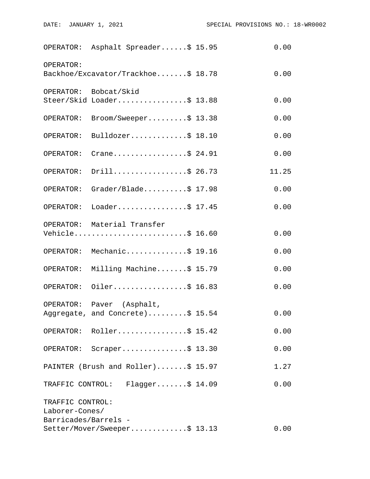|                                    | OPERATOR: Asphalt Spreader\$ 15.95                            | 0.00  |
|------------------------------------|---------------------------------------------------------------|-------|
| OPERATOR:                          | Backhoe/Excavator/Trackhoe\$ 18.78                            | 0.00  |
|                                    | OPERATOR: Bobcat/Skid<br>Steer/Skid Loader\$ 13.88            | 0.00  |
| OPERATOR:                          | Broom/Sweeper\$ 13.38                                         | 0.00  |
|                                    | OPERATOR: Bulldozer\$ 18.10                                   | 0.00  |
| OPERATOR:                          | Crane\$ 24.91                                                 | 0.00  |
| OPERATOR:                          | Drill\$ 26.73                                                 | 11.25 |
| OPERATOR:                          | Grader/Blade $$17.98$                                         | 0.00  |
|                                    | OPERATOR: Loader\$ 17.45                                      | 0.00  |
|                                    | OPERATOR: Material Transfer<br>Vehicle\$ 16.60                | 0.00  |
|                                    | OPERATOR: Mechanic\$ 19.16                                    | 0.00  |
| OPERATOR:                          | Milling Machine\$ 15.79                                       | 0.00  |
|                                    | OPERATOR: Oiler\$ 16.83                                       | 0.00  |
|                                    | OPERATOR: Paver (Asphalt,<br>Aggregate, and Concrete)\$ 15.54 | 0.00  |
|                                    | OPERATOR: Roller\$ 15.42                                      | 0.00  |
|                                    | OPERATOR: Scraper\$ 13.30                                     | 0.00  |
|                                    | PAINTER (Brush and Roller)\$ 15.97                            | 1.27  |
|                                    | TRAFFIC CONTROL: Flagger\$ 14.09                              | 0.00  |
| TRAFFIC CONTROL:<br>Laborer-Cones/ |                                                               |       |
| Barricades/Barrels -               | Setter/Mover/Sweeper\$ 13.13                                  | 0.00  |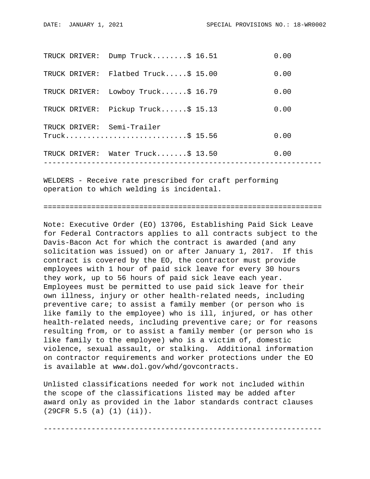|               | TRUCK DRIVER: Water Truck\$ 13.50               | 0.00 |
|---------------|-------------------------------------------------|------|
|               | TRUCK DRIVER: Semi-Trailer<br>$True k$ \$ 15.56 | 0.00 |
| TRUCK DRIVER: | Pickup Truck\$ 15.13                            | 0.00 |
|               | TRUCK DRIVER: Lowboy Truck\$ 16.79              | 0.00 |
|               | TRUCK DRIVER: Flatbed Truck\$ 15.00             | 0.00 |
|               | TRUCK DRIVER: Dump Truck\$ 16.51                | 0.00 |

WELDERS - Receive rate prescribed for craft performing operation to which welding is incidental.

================================================================

Note: Executive Order (EO) 13706, Establishing Paid Sick Leave for Federal Contractors applies to all contracts subject to the Davis-Bacon Act for which the contract is awarded (and any solicitation was issued) on or after January 1, 2017. If this contract is covered by the EO, the contractor must provide employees with 1 hour of paid sick leave for every 30 hours they work, up to 56 hours of paid sick leave each year. Employees must be permitted to use paid sick leave for their own illness, injury or other health-related needs, including preventive care; to assist a family member (or person who is like family to the employee) who is ill, injured, or has other health-related needs, including preventive care; or for reasons resulting from, or to assist a family member (or person who is like family to the employee) who is a victim of, domestic violence, sexual assault, or stalking. Additional information on contractor requirements and worker protections under the EO is available at www.dol.gov/whd/govcontracts.

Unlisted classifications needed for work not included within the scope of the classifications listed may be added after award only as provided in the labor standards contract clauses (29CFR 5.5 (a) (1) (ii)).

----------------------------------------------------------------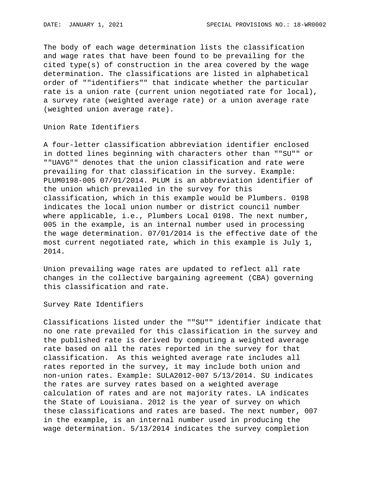The body of each wage determination lists the classification and wage rates that have been found to be prevailing for the cited type(s) of construction in the area covered by the wage determination. The classifications are listed in alphabetical order of ""identifiers"" that indicate whether the particular rate is a union rate (current union negotiated rate for local), a survey rate (weighted average rate) or a union average rate (weighted union average rate).

Union Rate Identifiers

A four-letter classification abbreviation identifier enclosed in dotted lines beginning with characters other than ""SU"" or ""UAVG"" denotes that the union classification and rate were prevailing for that classification in the survey. Example: PLUM0198-005 07/01/2014. PLUM is an abbreviation identifier of the union which prevailed in the survey for this classification, which in this example would be Plumbers. 0198 indicates the local union number or district council number where applicable, i.e., Plumbers Local 0198. The next number, 005 in the example, is an internal number used in processing the wage determination. 07/01/2014 is the effective date of the most current negotiated rate, which in this example is July 1, 2014.

Union prevailing wage rates are updated to reflect all rate changes in the collective bargaining agreement (CBA) governing this classification and rate.

Survey Rate Identifiers

Classifications listed under the ""SU"" identifier indicate that no one rate prevailed for this classification in the survey and the published rate is derived by computing a weighted average rate based on all the rates reported in the survey for that classification. As this weighted average rate includes all rates reported in the survey, it may include both union and non-union rates. Example: SULA2012-007 5/13/2014. SU indicates the rates are survey rates based on a weighted average calculation of rates and are not majority rates. LA indicates the State of Louisiana. 2012 is the year of survey on which these classifications and rates are based. The next number, 007 in the example, is an internal number used in producing the wage determination. 5/13/2014 indicates the survey completion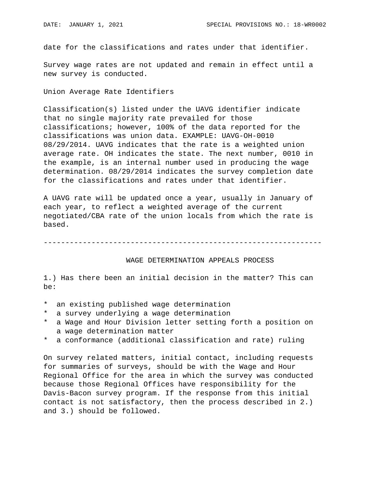date for the classifications and rates under that identifier.

Survey wage rates are not updated and remain in effect until a new survey is conducted.

Union Average Rate Identifiers

Classification(s) listed under the UAVG identifier indicate that no single majority rate prevailed for those classifications; however, 100% of the data reported for the classifications was union data. EXAMPLE: UAVG-OH-0010 08/29/2014. UAVG indicates that the rate is a weighted union average rate. OH indicates the state. The next number, 0010 in the example, is an internal number used in producing the wage determination. 08/29/2014 indicates the survey completion date for the classifications and rates under that identifier.

A UAVG rate will be updated once a year, usually in January of each year, to reflect a weighted average of the current negotiated/CBA rate of the union locals from which the rate is based.

----------------------------------------------------------------

## WAGE DETERMINATION APPEALS PROCESS

1.) Has there been an initial decision in the matter? This can be:

- \* an existing published wage determination
- \* a survey underlying a wage determination
- a Wage and Hour Division letter setting forth a position on a wage determination matter
- \* a conformance (additional classification and rate) ruling

On survey related matters, initial contact, including requests for summaries of surveys, should be with the Wage and Hour Regional Office for the area in which the survey was conducted because those Regional Offices have responsibility for the Davis-Bacon survey program. If the response from this initial contact is not satisfactory, then the process described in 2.) and 3.) should be followed.